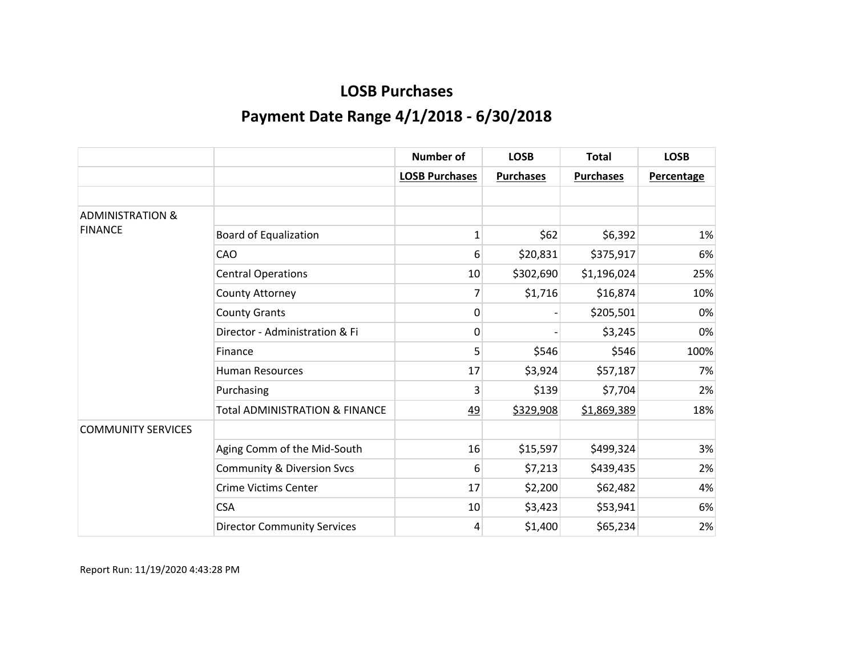|                             |                                           | <b>Number of</b>      | <b>LOSB</b>      | <b>Total</b>     | <b>LOSB</b>       |
|-----------------------------|-------------------------------------------|-----------------------|------------------|------------------|-------------------|
|                             |                                           | <b>LOSB Purchases</b> | <b>Purchases</b> | <b>Purchases</b> | <b>Percentage</b> |
|                             |                                           |                       |                  |                  |                   |
| <b>ADMINISTRATION &amp;</b> |                                           |                       |                  |                  |                   |
| <b>FINANCE</b>              | <b>Board of Equalization</b>              | $\mathbf{1}$          | \$62             | \$6,392          | 1%                |
|                             | CAO                                       | 6                     | \$20,831         | \$375,917        | 6%                |
|                             | <b>Central Operations</b>                 | 10                    | \$302,690        | \$1,196,024      | 25%               |
|                             | County Attorney                           | 7                     | \$1,716          | \$16,874         | 10%               |
|                             | <b>County Grants</b>                      | 0                     |                  | \$205,501        | 0%                |
|                             | Director - Administration & Fi            | 0                     |                  | \$3,245          | 0%                |
|                             | Finance                                   | 5                     | \$546            | \$546            | 100%              |
|                             | <b>Human Resources</b>                    | 17                    | \$3,924          | \$57,187         | 7%                |
|                             | Purchasing                                | 3                     | \$139            | \$7,704          | 2%                |
|                             | <b>Total ADMINISTRATION &amp; FINANCE</b> | <u>49</u>             | \$329,908        | \$1,869,389      | 18%               |
| <b>COMMUNITY SERVICES</b>   |                                           |                       |                  |                  |                   |
|                             | Aging Comm of the Mid-South               | 16                    | \$15,597         | \$499,324        | 3%                |
|                             | <b>Community &amp; Diversion Svcs</b>     | 6                     | \$7,213          | \$439,435        | 2%                |
|                             | <b>Crime Victims Center</b>               | 17                    | \$2,200          | \$62,482         | 4%                |
|                             | <b>CSA</b>                                | 10                    | \$3,423          | \$53,941         | 6%                |
|                             | <b>Director Community Services</b>        | 4                     | \$1,400          | \$65,234         | 2%                |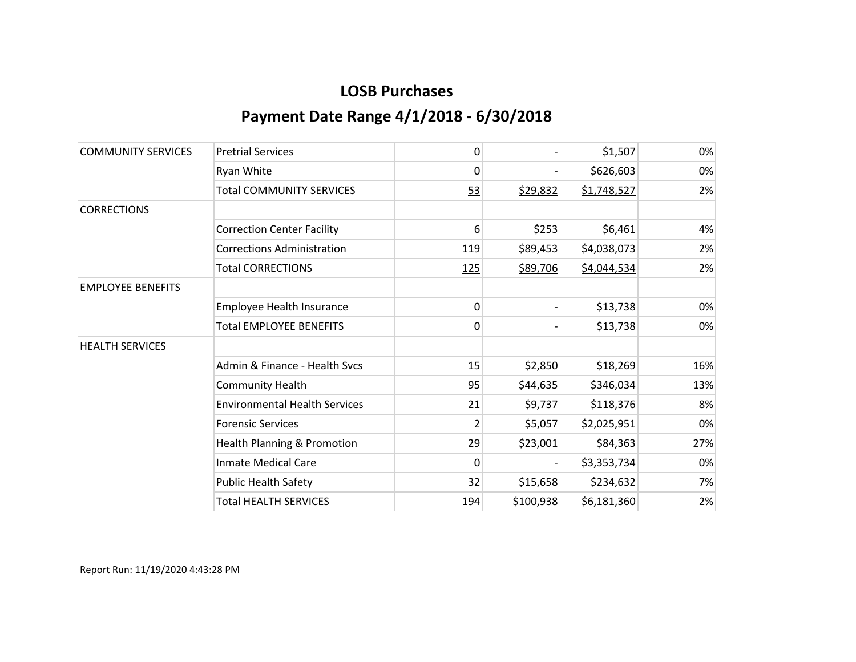| <b>COMMUNITY SERVICES</b> | <b>Pretrial Services</b>             | 0              |           | \$1,507     | 0%  |
|---------------------------|--------------------------------------|----------------|-----------|-------------|-----|
|                           | Ryan White                           | 0              |           | \$626,603   | 0%  |
|                           | <b>Total COMMUNITY SERVICES</b>      | 53             | \$29,832  | \$1,748,527 | 2%  |
| <b>CORRECTIONS</b>        |                                      |                |           |             |     |
|                           | <b>Correction Center Facility</b>    | 6              | \$253     | \$6,461     | 4%  |
|                           | <b>Corrections Administration</b>    | 119            | \$89,453  | \$4,038,073 | 2%  |
|                           | <b>Total CORRECTIONS</b>             | <u>125</u>     | \$89,706  | \$4,044,534 | 2%  |
| <b>EMPLOYEE BENEFITS</b>  |                                      |                |           |             |     |
|                           | Employee Health Insurance            | 0              |           | \$13,738    | 0%  |
|                           | <b>Total EMPLOYEE BENEFITS</b>       | <u>0</u>       |           | \$13,738    | 0%  |
| <b>HEALTH SERVICES</b>    |                                      |                |           |             |     |
|                           | Admin & Finance - Health Svcs        | 15             | \$2,850   | \$18,269    | 16% |
|                           | <b>Community Health</b>              | 95             | \$44,635  | \$346,034   | 13% |
|                           | <b>Environmental Health Services</b> | 21             | \$9,737   | \$118,376   | 8%  |
|                           | <b>Forensic Services</b>             | $\overline{2}$ | \$5,057   | \$2,025,951 | 0%  |
|                           | Health Planning & Promotion          | 29             | \$23,001  | \$84,363    | 27% |
|                           | <b>Inmate Medical Care</b>           | 0              |           | \$3,353,734 | 0%  |
|                           | <b>Public Health Safety</b>          | 32             | \$15,658  | \$234,632   | 7%  |
|                           | <b>Total HEALTH SERVICES</b>         | 194            | \$100,938 | \$6,181,360 | 2%  |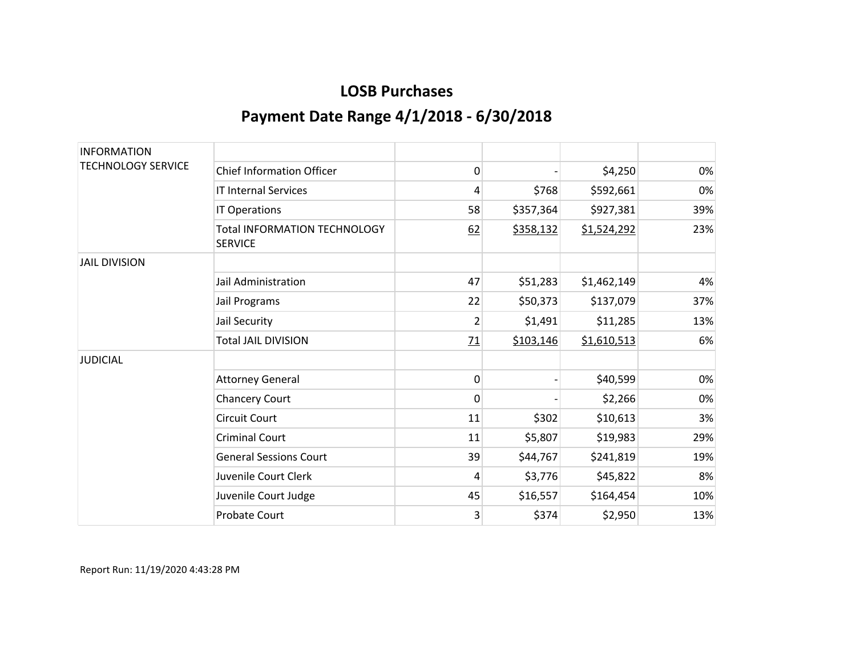| <b>INFORMATION</b>        |                                                       |                |           |             |     |
|---------------------------|-------------------------------------------------------|----------------|-----------|-------------|-----|
| <b>TECHNOLOGY SERVICE</b> | <b>Chief Information Officer</b>                      | 0              |           | \$4,250     | 0%  |
|                           | <b>IT Internal Services</b>                           | 4              | \$768     | \$592,661   | 0%  |
|                           | IT Operations                                         | 58             | \$357,364 | \$927,381   | 39% |
|                           | <b>Total INFORMATION TECHNOLOGY</b><br><b>SERVICE</b> | 62             | \$358,132 | \$1,524,292 | 23% |
| <b>JAIL DIVISION</b>      |                                                       |                |           |             |     |
|                           | Jail Administration                                   | 47             | \$51,283  | \$1,462,149 | 4%  |
|                           | Jail Programs                                         | 22             | \$50,373  | \$137,079   | 37% |
|                           | Jail Security                                         | $\overline{2}$ | \$1,491   | \$11,285    | 13% |
|                           | <b>Total JAIL DIVISION</b>                            | 71             | \$103,146 | \$1,610,513 | 6%  |
| <b>JUDICIAL</b>           |                                                       |                |           |             |     |
|                           | <b>Attorney General</b>                               | 0              |           | \$40,599    | 0%  |
|                           | <b>Chancery Court</b>                                 | $\mathbf{0}$   |           | \$2,266     | 0%  |
|                           | <b>Circuit Court</b>                                  | 11             | \$302     | \$10,613    | 3%  |
|                           | <b>Criminal Court</b>                                 | 11             | \$5,807   | \$19,983    | 29% |
|                           | <b>General Sessions Court</b>                         | 39             | \$44,767  | \$241,819   | 19% |
|                           | Juvenile Court Clerk                                  | 4              | \$3,776   | \$45,822    | 8%  |
|                           | Juvenile Court Judge                                  | 45             | \$16,557  | \$164,454   | 10% |
|                           | <b>Probate Court</b>                                  | 3              | \$374     | \$2,950     | 13% |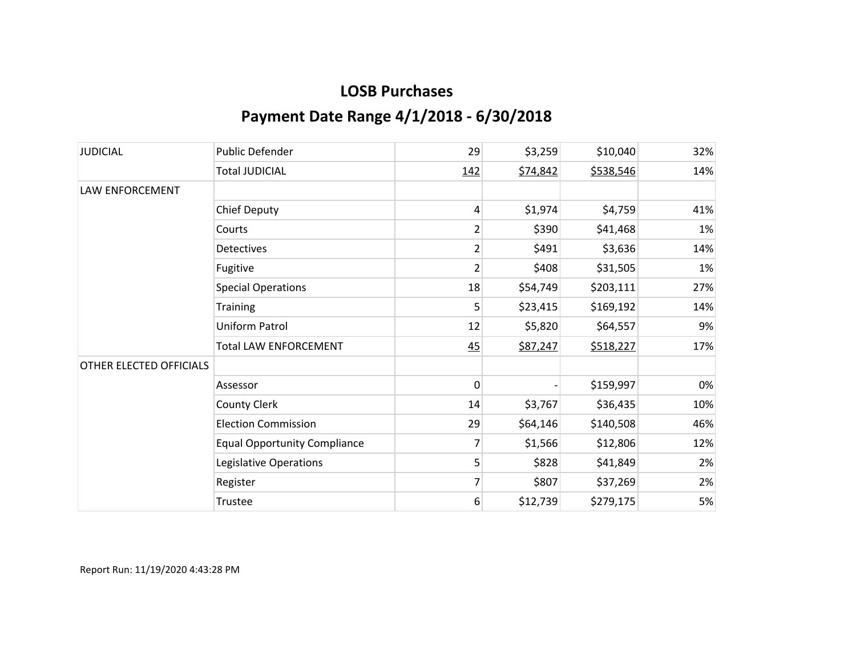| <b>JUDICIAL</b>         | <b>Public Defender</b>              | 29             | \$3,259  | \$10,040  | 32% |
|-------------------------|-------------------------------------|----------------|----------|-----------|-----|
|                         | <b>Total JUDICIAL</b>               | 142            | \$74,842 | \$538,546 | 14% |
| <b>LAW ENFORCEMENT</b>  |                                     |                |          |           |     |
|                         | <b>Chief Deputy</b>                 | 4              | \$1,974  | \$4,759   | 41% |
|                         | Courts                              | $\overline{2}$ | \$390    | \$41,468  | 1%  |
|                         | <b>Detectives</b>                   | $\overline{2}$ | \$491    | \$3,636   | 14% |
|                         | Fugitive                            | $\overline{2}$ | \$408    | \$31,505  | 1%  |
|                         | <b>Special Operations</b>           | 18             | \$54,749 | \$203,111 | 27% |
|                         | Training                            | 5              | \$23,415 | \$169,192 | 14% |
|                         | Uniform Patrol                      | 12             | \$5,820  | \$64,557  | 9%  |
|                         | <b>Total LAW ENFORCEMENT</b>        | 45             | \$87,247 | \$518,227 | 17% |
| OTHER ELECTED OFFICIALS |                                     |                |          |           |     |
|                         | Assessor                            | 0              |          | \$159,997 | 0%  |
|                         | <b>County Clerk</b>                 | 14             | \$3,767  | \$36,435  | 10% |
|                         | <b>Election Commission</b>          | 29             | \$64,146 | \$140,508 | 46% |
|                         | <b>Equal Opportunity Compliance</b> | 7              | \$1,566  | \$12,806  | 12% |
|                         | Legislative Operations              | 5              | \$828    | \$41,849  | 2%  |
|                         | Register                            | $\overline{7}$ | \$807    | \$37,269  | 2%  |
|                         | Trustee                             | 6              | \$12,739 | \$279,175 | 5%  |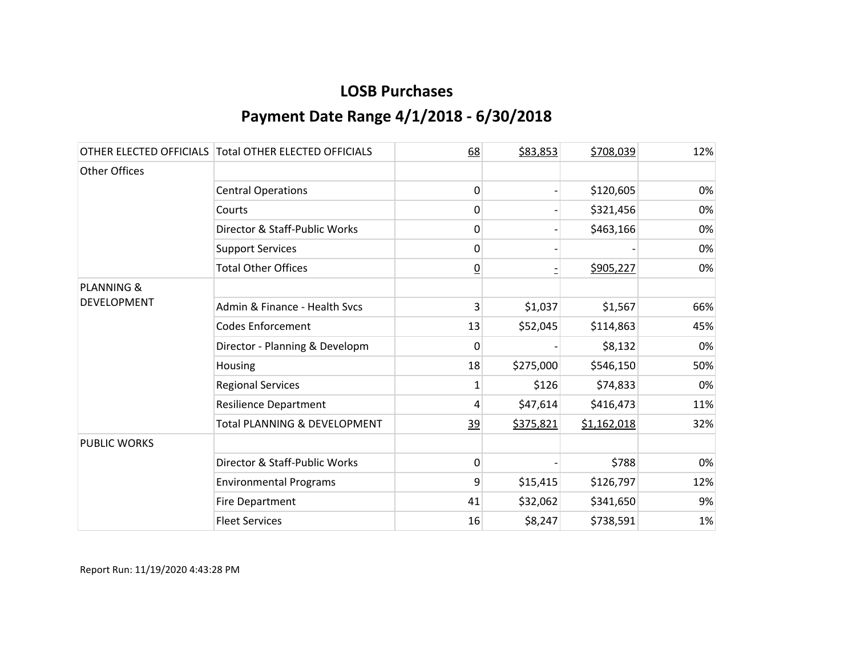|                       | OTHER ELECTED OFFICIALS Total OTHER ELECTED OFFICIALS | 68              | \$83,853  | \$708,039   | 12% |
|-----------------------|-------------------------------------------------------|-----------------|-----------|-------------|-----|
| Other Offices         |                                                       |                 |           |             |     |
|                       | <b>Central Operations</b>                             | $\mathbf{0}$    |           | \$120,605   | 0%  |
|                       | Courts                                                | $\mathbf{0}$    |           | \$321,456   | 0%  |
|                       | Director & Staff-Public Works                         | 0               |           | \$463,166   | 0%  |
|                       | <b>Support Services</b>                               | 0               |           |             | 0%  |
|                       | <b>Total Other Offices</b>                            | $\underline{0}$ |           | \$905,227   | 0%  |
| <b>PLANNING &amp;</b> |                                                       |                 |           |             |     |
| <b>DEVELOPMENT</b>    | Admin & Finance - Health Svcs                         | 3               | \$1,037   | \$1,567     | 66% |
|                       | <b>Codes Enforcement</b>                              | 13              | \$52,045  | \$114,863   | 45% |
|                       | Director - Planning & Developm                        | 0               |           | \$8,132     | 0%  |
|                       | Housing                                               | 18              | \$275,000 | \$546,150   | 50% |
|                       | <b>Regional Services</b>                              | 1               | \$126     | \$74,833    | 0%  |
|                       | <b>Resilience Department</b>                          | 4               | \$47,614  | \$416,473   | 11% |
|                       | Total PLANNING & DEVELOPMENT                          | <u>39</u>       | \$375,821 | \$1,162,018 | 32% |
| <b>PUBLIC WORKS</b>   |                                                       |                 |           |             |     |
|                       | Director & Staff-Public Works                         | 0               |           | \$788       | 0%  |
|                       | <b>Environmental Programs</b>                         | 9               | \$15,415  | \$126,797   | 12% |
|                       | Fire Department                                       | 41              | \$32,062  | \$341,650   | 9%  |
|                       | <b>Fleet Services</b>                                 | 16              | \$8,247   | \$738,591   | 1%  |